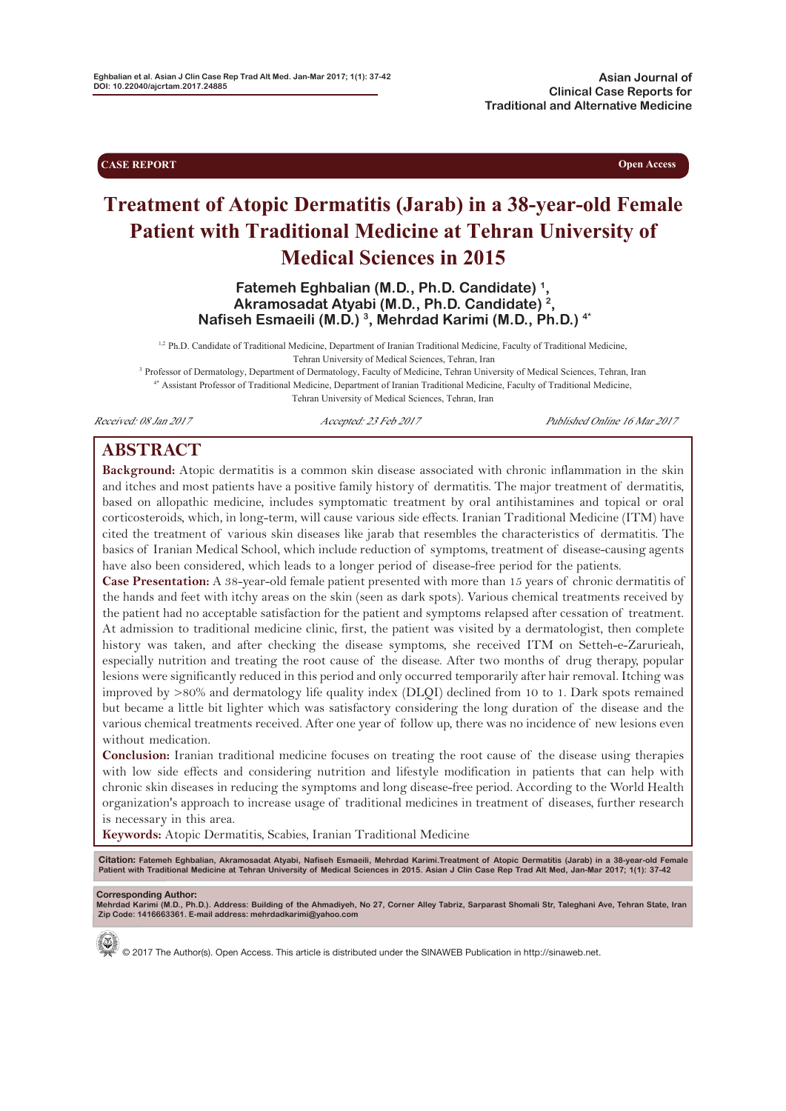**CASE REPORT Open Access** 

# **Treatment of Atopic Dermatitis (Jarab) in a 38-year-old Female Patient with Traditional Medicine at Tehran University of Medical Sciences in 2015**

**Fatemeh Eghbalian (M.D., Ph.D. Candidate) 1, Akramosadat Atyabi (M.D., Ph.D. Candidate) 2, Nafiseh Esmaeili (M.D.) 3, Mehrdad Karimi (M.D., Ph.D.) 4\***

<sup>1,2</sup> Ph.D. Candidate of Traditional Medicine, Department of Iranian Traditional Medicine, Faculty of Traditional Medicine, Tehran University of Medical Sciences, Tehran, Iran

<sup>3</sup> Professor of Dermatology, Department of Dermatology, Faculty of Medicine, Tehran University of Medical Sciences, Tehran, Iran 4\* Assistant Professor of Traditional Medicine, Department of Iranian Traditional Medicine, Faculty of Traditional Medicine, Tehran University of Medical Sciences, Tehran, Iran

Received: 08 Jan 2017 Accepted: 23 Feb 2017 Published Online 16 Mar 2017

## **ABSTRACT**

**Background:** Atopic dermatitis is a common skin disease associated with chronic inflammation in the skin and itches and most patients have a positive family history of dermatitis. The major treatment of dermatitis, based on allopathic medicine, includes symptomatic treatment by oral antihistamines and topical or oral corticosteroids, which, in long-term, will cause various side effects. Iranian Traditional Medicine (ITM) have cited the treatment of various skin diseases like jarab that resembles the characteristics of dermatitis. The basics of Iranian Medical School, which include reduction of symptoms, treatment of disease-causing agents have also been considered, which leads to a longer period of disease-free period for the patients.

**Case Presentation:** A 38-year-old female patient presented with more than 15 years of chronic dermatitis of the hands and feet with itchy areas on the skin (seen as dark spots). Various chemical treatments received by the patient had no acceptable satisfaction for the patient and symptoms relapsed after cessation of treatment. At admission to traditional medicine clinic, first, the patient was visited by a dermatologist, then complete history was taken, and after checking the disease symptoms, she received ITM on Setteh-e-Zarurieah, especially nutrition and treating the root cause of the disease. After two months of drug therapy, popular lesions were significantly reduced in this period and only occurred temporarily after hair removal. Itching was improved by >80% and dermatology life quality index (DLQI) declined from 10 to 1. Dark spots remained but became a little bit lighter which was satisfactory considering the long duration of the disease and the various chemical treatments received. After one year of follow up, there was no incidence of new lesions even without medication.

**Conclusion:** Iranian traditional medicine focuses on treating the root cause of the disease using therapies with low side effects and considering nutrition and lifestyle modification in patients that can help with chronic skin diseases in reducing the symptoms and long disease-free period. According to the World Health organization's approach to increase usage of traditional medicines in treatment of diseases, further research is necessary in this area.

**Keywords:** Atopic Dermatitis, Scabies, Iranian Traditional Medicine

Citation: Fatemeh Eghbalian, Akramosadat Atyabi, Nafiseh Esmaeili, Mehrdad Karimi.Treatment of Atopic Dermatitis (Jarab) in a 38-year-old Female<br>Patient with Traditional Medicine at Tehran University of Medical Sciences in

**Corresponding Author: Mehrdad Karimi (M.D., Ph.D.). Address: Building of the Ahmadiyeh, No 27, Corner Alley Tabriz, Sarparast Shomali Str, Taleghani Ave, Tehran State, Iran Zip Code: 1416663361. E-mail address: mehrdadkarimi@yahoo.com**



© 2017 The Author(s). Open Access. This article is distributed under the SINAWEB Publication in http://sinaweb.net.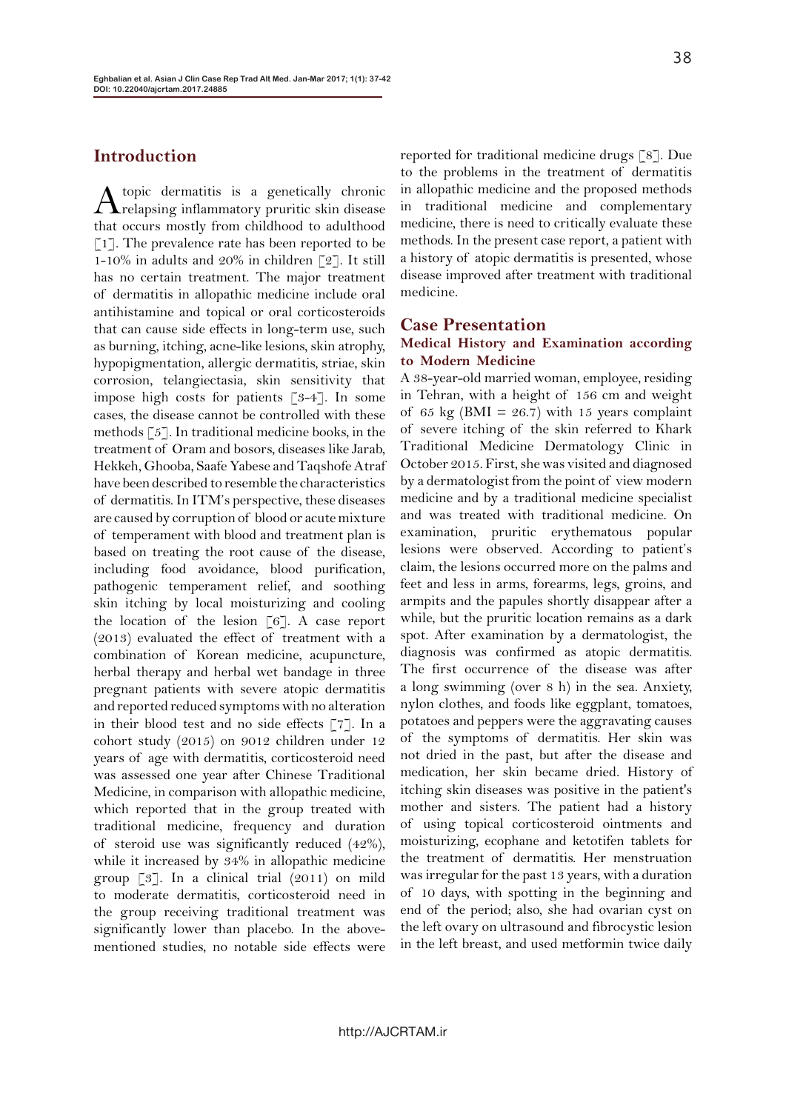## **Introduction**

A topic dermatitis is a genetically chronic<br>
relapsing inflammatory pruritic skin disease that occurs mostly from childhood to adulthood  $\lceil 1 \rceil$ . The prevalence rate has been reported to be 1-10% in adults and 20% in children [2]. It still has no certain treatment. The major treatment of dermatitis in allopathic medicine include oral antihistamine and topical or oral corticosteroids that can cause side effects in long-term use, such as burning, itching, acne-like lesions, skin atrophy, hypopigmentation, allergic dermatitis, striae, skin corrosion, telangiectasia, skin sensitivity that impose high costs for patients [3-4]. In some cases, the disease cannot be controlled with these methods [5]. In traditional medicine books, in the treatment of Oram and bosors, diseases like Jarab, Hekkeh, Ghooba, Saafe Yabese and Taqshofe Atraf have been described to resemble the characteristics of dermatitis. In ITM's perspective, these diseases are caused by corruption of blood or acute mixture of temperament with blood and treatment plan is based on treating the root cause of the disease, including food avoidance, blood purification, pathogenic temperament relief, and soothing skin itching by local moisturizing and cooling the location of the lesion  $\lceil 6 \rceil$ . A case report (2013) evaluated the effect of treatment with a combination of Korean medicine, acupuncture, herbal therapy and herbal wet bandage in three pregnant patients with severe atopic dermatitis and reported reduced symptoms with no alteration in their blood test and no side effects [7]. In a cohort study (2015) on 9012 children under 12 years of age with dermatitis, corticosteroid need was assessed one year after Chinese Traditional Medicine, in comparison with allopathic medicine, which reported that in the group treated with traditional medicine, frequency and duration of steroid use was significantly reduced (42%), while it increased by 34% in allopathic medicine group [3]. In a clinical trial (2011) on mild to moderate dermatitis, corticosteroid need in the group receiving traditional treatment was significantly lower than placebo. In the abovementioned studies, no notable side effects were

reported for traditional medicine drugs [8]. Due to the problems in the treatment of dermatitis in allopathic medicine and the proposed methods in traditional medicine and complementary medicine, there is need to critically evaluate these methods. In the present case report, a patient with a history of atopic dermatitis is presented, whose disease improved after treatment with traditional medicine.

#### **Case Presentation**

#### **Medical History and Examination according to Modern Medicine**

A 38-year-old married woman, employee, residing in Tehran, with a height of 156 cm and weight of 65 kg (BMI =  $26.7$ ) with 15 years complaint of severe itching of the skin referred to Khark Traditional Medicine Dermatology Clinic in October 2015. First, she was visited and diagnosed by a dermatologist from the point of view modern medicine and by a traditional medicine specialist and was treated with traditional medicine. On examination, pruritic erythematous popular lesions were observed. According to patient's claim, the lesions occurred more on the palms and feet and less in arms, forearms, legs, groins, and armpits and the papules shortly disappear after a while, but the pruritic location remains as a dark spot. After examination by a dermatologist, the diagnosis was confirmed as atopic dermatitis. The first occurrence of the disease was after a long swimming (over 8 h) in the sea. Anxiety, nylon clothes, and foods like eggplant, tomatoes, potatoes and peppers were the aggravating causes of the symptoms of dermatitis. Her skin was not dried in the past, but after the disease and medication, her skin became dried. History of itching skin diseases was positive in the patient's mother and sisters. The patient had a history of using topical corticosteroid ointments and moisturizing, ecophane and ketotifen tablets for the treatment of dermatitis. Her menstruation was irregular for the past 13 years, with a duration of 10 days, with spotting in the beginning and end of the period; also, she had ovarian cyst on the left ovary on ultrasound and fibrocystic lesion in the left breast, and used metformin twice daily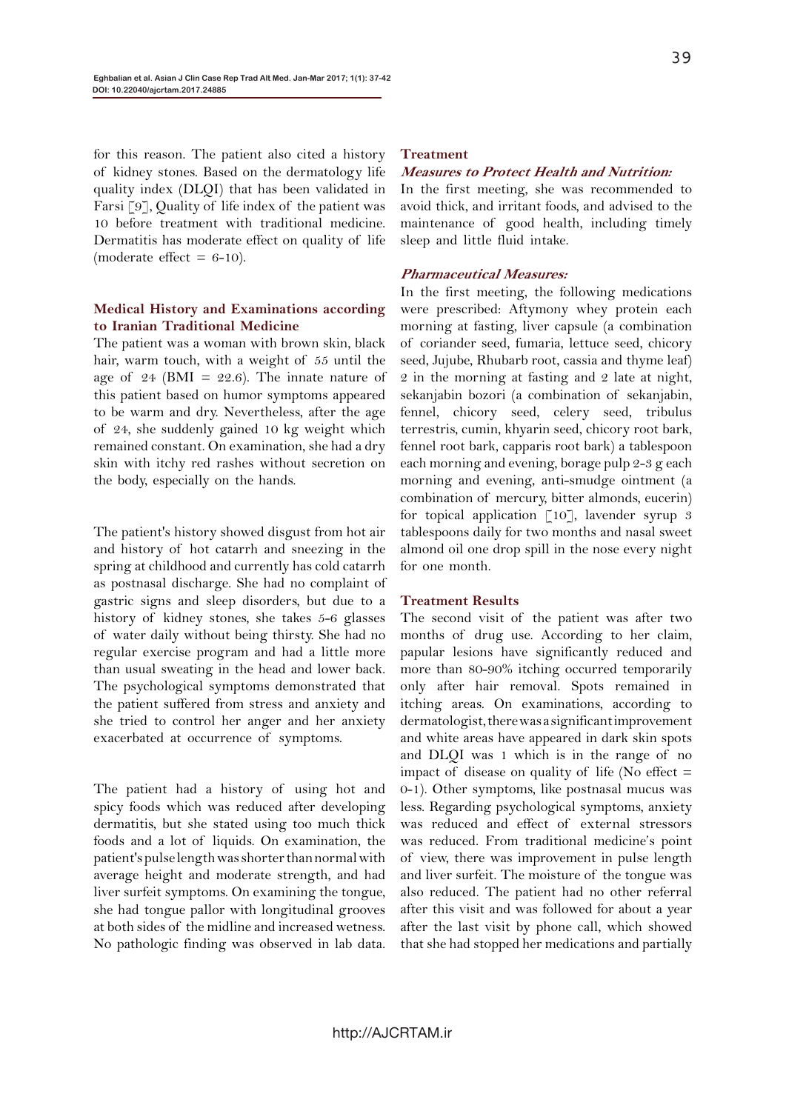for this reason. The patient also cited a history of kidney stones. Based on the dermatology life quality index (DLQI) that has been validated in Farsi [9], Quality of life index of the patient was 10 before treatment with traditional medicine. Dermatitis has moderate effect on quality of life (moderate effect  $= 6-10$ ).

### **Medical History and Examinations according to Iranian Traditional Medicine**

The patient was a woman with brown skin, black hair, warm touch, with a weight of 55 until the age of 24 (BMI = 22.6). The innate nature of this patient based on humor symptoms appeared to be warm and dry. Nevertheless, after the age of 24, she suddenly gained 10 kg weight which remained constant. On examination, she had a dry skin with itchy red rashes without secretion on the body, especially on the hands.

The patient's history showed disgust from hot air and history of hot catarrh and sneezing in the spring at childhood and currently has cold catarrh as postnasal discharge. She had no complaint of gastric signs and sleep disorders, but due to a history of kidney stones, she takes 5-6 glasses of water daily without being thirsty. She had no regular exercise program and had a little more than usual sweating in the head and lower back. The psychological symptoms demonstrated that the patient suffered from stress and anxiety and she tried to control her anger and her anxiety exacerbated at occurrence of symptoms.

The patient had a history of using hot and spicy foods which was reduced after developing dermatitis, but she stated using too much thick foods and a lot of liquids. On examination, the patient's pulse length was shorter than normal with average height and moderate strength, and had liver surfeit symptoms. On examining the tongue, she had tongue pallor with longitudinal grooves at both sides of the midline and increased wetness. No pathologic finding was observed in lab data.

#### **Treatment**

#### **Measures to Protect Health and Nutrition:**

In the first meeting, she was recommended to avoid thick, and irritant foods, and advised to the maintenance of good health, including timely sleep and little fluid intake.

#### **Pharmaceutical Measures:**

In the first meeting, the following medications were prescribed: Aftymony whey protein each morning at fasting, liver capsule (a combination of coriander seed, fumaria, lettuce seed, chicory seed, Jujube, Rhubarb root, cassia and thyme leaf) 2 in the morning at fasting and 2 late at night, sekanjabin bozori (a combination of sekanjabin, fennel, chicory seed, celery seed, tribulus terrestris, cumin, khyarin seed, chicory root bark, fennel root bark, capparis root bark) a tablespoon each morning and evening, borage pulp 2-3 g each morning and evening, anti-smudge ointment (a combination of mercury, bitter almonds, eucerin) for topical application  $\lceil 10 \rceil$ , lavender syrup 3 tablespoons daily for two months and nasal sweet almond oil one drop spill in the nose every night for one month.

#### **Treatment Results**

The second visit of the patient was after two months of drug use. According to her claim, papular lesions have significantly reduced and more than 80-90% itching occurred temporarily only after hair removal. Spots remained in itching areas. On examinations, according to dermatologist, there was a significant improvement and white areas have appeared in dark skin spots and DLQI was 1 which is in the range of no impact of disease on quality of life (No effect  $=$ 0-1). Other symptoms, like postnasal mucus was less. Regarding psychological symptoms, anxiety was reduced and effect of external stressors was reduced. From traditional medicine's point of view, there was improvement in pulse length and liver surfeit. The moisture of the tongue was also reduced. The patient had no other referral after this visit and was followed for about a year after the last visit by phone call, which showed that she had stopped her medications and partially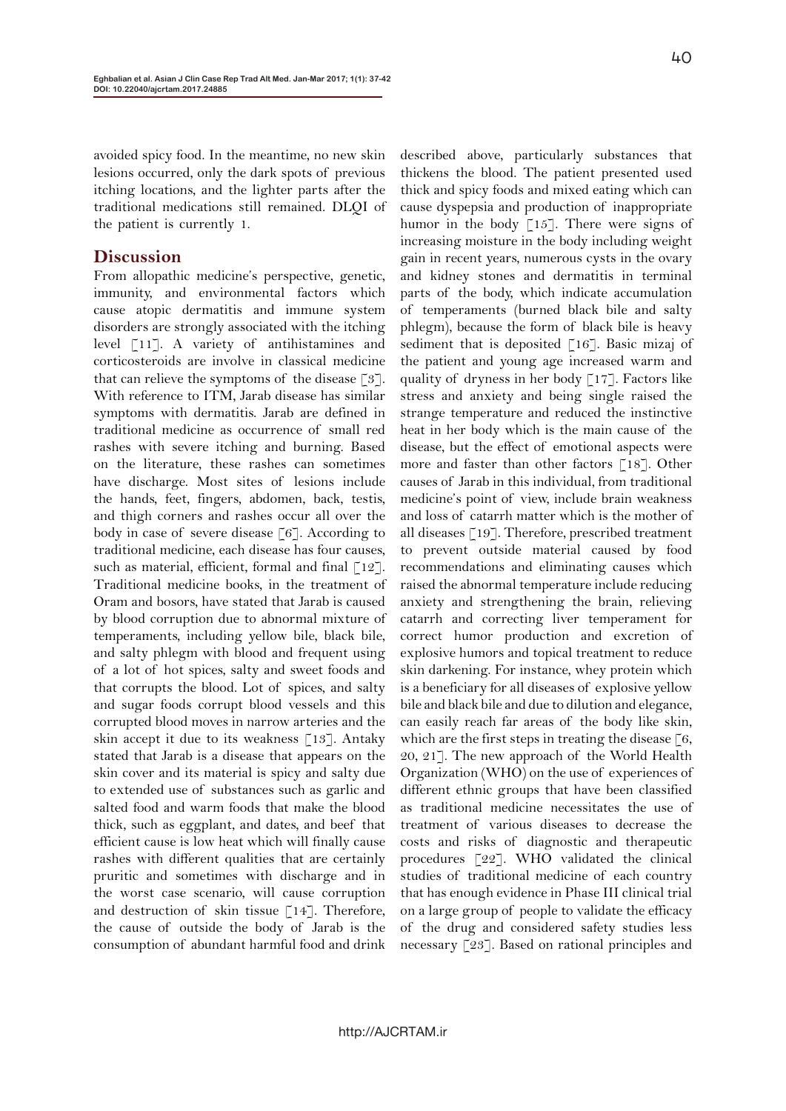avoided spicy food. In the meantime, no new skin lesions occurred, only the dark spots of previous itching locations, and the lighter parts after the traditional medications still remained. DLQI of the patient is currently 1.

## **Discussion**

From allopathic medicine's perspective, genetic, immunity, and environmental factors which cause atopic dermatitis and immune system disorders are strongly associated with the itching level [11]. A variety of antihistamines and corticosteroids are involve in classical medicine that can relieve the symptoms of the disease  $\lceil 3 \rceil$ . With reference to ITM, Jarab disease has similar symptoms with dermatitis. Jarab are defined in traditional medicine as occurrence of small red rashes with severe itching and burning. Based on the literature, these rashes can sometimes have discharge. Most sites of lesions include the hands, feet, fingers, abdomen, back, testis, and thigh corners and rashes occur all over the body in case of severe disease [6]. According to traditional medicine, each disease has four causes, such as material, efficient, formal and final  $\lceil 12 \rceil$ . Traditional medicine books, in the treatment of Oram and bosors, have stated that Jarab is caused by blood corruption due to abnormal mixture of temperaments, including yellow bile, black bile, and salty phlegm with blood and frequent using of a lot of hot spices, salty and sweet foods and that corrupts the blood. Lot of spices, and salty and sugar foods corrupt blood vessels and this corrupted blood moves in narrow arteries and the skin accept it due to its weakness [13]. Antaky stated that Jarab is a disease that appears on the skin cover and its material is spicy and salty due to extended use of substances such as garlic and salted food and warm foods that make the blood thick, such as eggplant, and dates, and beef that efficient cause is low heat which will finally cause rashes with different qualities that are certainly pruritic and sometimes with discharge and in the worst case scenario, will cause corruption and destruction of skin tissue [14]. Therefore, the cause of outside the body of Jarab is the consumption of abundant harmful food and drink

described above, particularly substances that thickens the blood. The patient presented used thick and spicy foods and mixed eating which can cause dyspepsia and production of inappropriate humor in the body  $\lceil 15 \rceil$ . There were signs of increasing moisture in the body including weight gain in recent years, numerous cysts in the ovary and kidney stones and dermatitis in terminal parts of the body, which indicate accumulation of temperaments (burned black bile and salty phlegm), because the form of black bile is heavy sediment that is deposited  $\lceil 16 \rceil$ . Basic mizaj of the patient and young age increased warm and quality of dryness in her body [17]. Factors like stress and anxiety and being single raised the strange temperature and reduced the instinctive heat in her body which is the main cause of the disease, but the effect of emotional aspects were more and faster than other factors [18]. Other causes of Jarab in this individual, from traditional medicine's point of view, include brain weakness and loss of catarrh matter which is the mother of all diseases [19]. Therefore, prescribed treatment to prevent outside material caused by food recommendations and eliminating causes which raised the abnormal temperature include reducing anxiety and strengthening the brain, relieving catarrh and correcting liver temperament for correct humor production and excretion of explosive humors and topical treatment to reduce skin darkening. For instance, whey protein which is a beneficiary for all diseases of explosive yellow bile and black bile and due to dilution and elegance, can easily reach far areas of the body like skin, which are the first steps in treating the disease  $\lceil 6, \rceil$ 20, 21]. The new approach of the World Health Organization (WHO) on the use of experiences of different ethnic groups that have been classified as traditional medicine necessitates the use of treatment of various diseases to decrease the costs and risks of diagnostic and therapeutic procedures [22]. WHO validated the clinical studies of traditional medicine of each country that has enough evidence in Phase III clinical trial on a large group of people to validate the efficacy of the drug and considered safety studies less necessary [23]. Based on rational principles and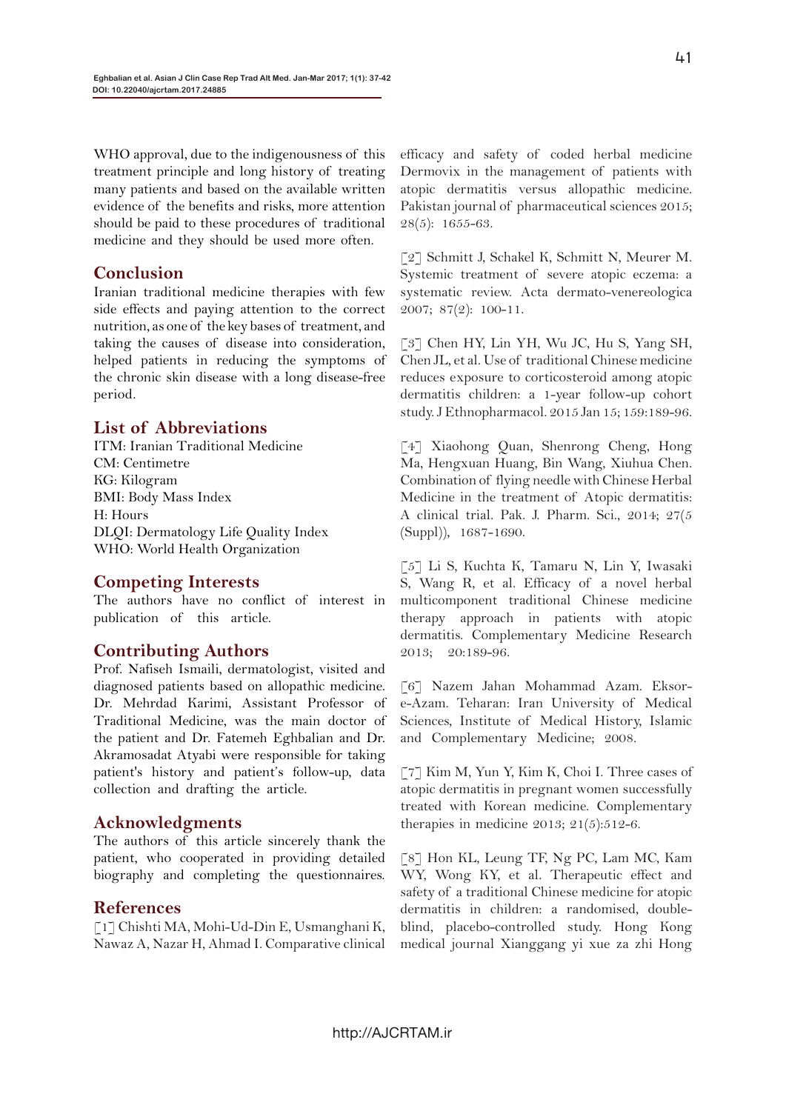WHO approval, due to the indigenousness of this treatment principle and long history of treating many patients and based on the available written evidence of the benefits and risks, more attention should be paid to these procedures of traditional medicine and they should be used more often.

## **Conclusion**

Iranian traditional medicine therapies with few side effects and paying attention to the correct nutrition, as one of the key bases of treatment, and taking the causes of disease into consideration, helped patients in reducing the symptoms of the chronic skin disease with a long disease-free period.

## **List of Abbreviations**

ITM: Iranian Traditional Medicine CM: Centimetre KG: Kilogram BMI: Body Mass Index H: Hours DLQI: Dermatology Life Quality Index WHO: World Health Organization

## **Competing Interests**

The authors have no conflict of interest in publication of this article.

## **Contributing Authors**

Prof. Nafiseh Ismaili, dermatologist, visited and diagnosed patients based on allopathic medicine. Dr. Mehrdad Karimi, Assistant Professor of Traditional Medicine, was the main doctor of the patient and Dr. Fatemeh Eghbalian and Dr. Akramosadat Atyabi were responsible for taking patient's history and patient's follow-up, data collection and drafting the article.

## **Acknowledgments**

The authors of this article sincerely thank the patient, who cooperated in providing detailed biography and completing the questionnaires.

## **References**

[1] Chishti MA, Mohi-Ud-Din E, Usmanghani K, Nawaz A, Nazar H, Ahmad I. Comparative clinical

efficacy and safety of coded herbal medicine Dermovix in the management of patients with atopic dermatitis versus allopathic medicine. Pakistan journal of pharmaceutical sciences 2015; 28(5): 1655-63.

[2] Schmitt J, Schakel K, Schmitt N, Meurer M. Systemic treatment of severe atopic eczema: a systematic review. Acta dermato-venereologica 2007; 87(2): 100-11.

[3] Chen HY, Lin YH, Wu JC, Hu S, Yang SH, Chen JL, et al. Use of traditional Chinese medicine reduces exposure to corticosteroid among atopic dermatitis children: a 1-year follow-up cohort study. J Ethnopharmacol. 2015 Jan 15; 159:189-96.

[4] Xiaohong Quan, Shenrong Cheng, Hong Ma, Hengxuan Huang, Bin Wang, Xiuhua Chen. Combination of flying needle with Chinese Herbal Medicine in the treatment of Atopic dermatitis: A clinical trial. Pak. J. Pharm. Sci., 2014; 27(5 (Suppl)), 1687-1690.

[5] Li S, Kuchta K, Tamaru N, Lin Y, Iwasaki S, Wang R, et al. Efficacy of a novel herbal multicomponent traditional Chinese medicine therapy approach in patients with atopic dermatitis. Complementary Medicine Research 2013; 20:189-96.

[6] Nazem Jahan Mohammad Azam. Eksore-Azam. Teharan: Iran University of Medical Sciences, Institute of Medical History, Islamic and Complementary Medicine; 2008.

[7] Kim M, Yun Y, Kim K, Choi I. Three cases of atopic dermatitis in pregnant women successfully treated with Korean medicine. Complementary therapies in medicine  $2013$ ;  $21(5):512-6$ .

[8] Hon KL, Leung TF, Ng PC, Lam MC, Kam WY, Wong KY, et al. Therapeutic effect and safety of a traditional Chinese medicine for atopic dermatitis in children: a randomised, doubleblind, placebo-controlled study. Hong Kong medical journal Xianggang yi xue za zhi Hong